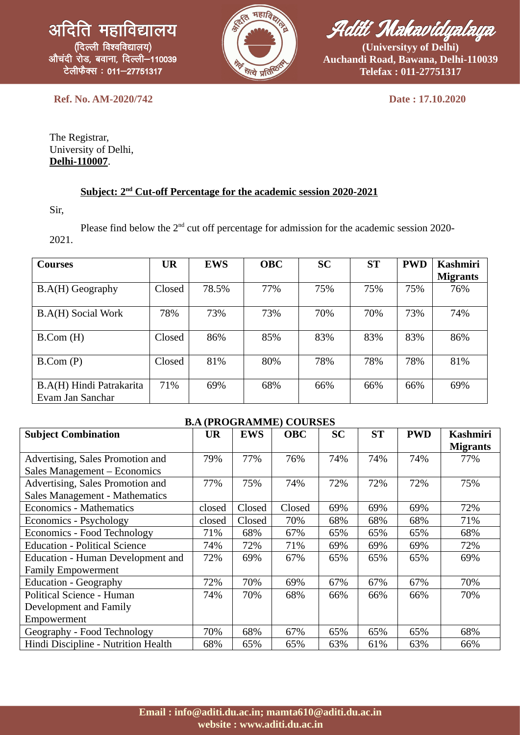

Aditi Mahavidyalaya

**(Universityy of Delhi) Auchandi Road, Bawana, Delhi-110039 Telefax : 011-27751317**

**Ref. No. AM-2020/742 Date : 17.10.2020**

The Registrar, University of Delhi, **Delhi-110007**.

## **Subject: 2nd Cut-off Percentage for the academic session 2020-2021**

Sir,

Please find below the  $2<sup>nd</sup>$  cut off percentage for admission for the academic session 2020-2021.

| <b>Courses</b>                               | <b>UR</b> | <b>EWS</b> | <b>OBC</b> | <b>SC</b> | <b>ST</b> | <b>PWD</b> | <b>Kashmiri</b><br><b>Migrants</b> |
|----------------------------------------------|-----------|------------|------------|-----------|-----------|------------|------------------------------------|
| B.A(H) Geography                             | Closed    | 78.5%      | 77%        | 75%       | 75%       | 75%        | 76%                                |
| B.A(H) Social Work                           | 78%       | 73%        | 73%        | 70%       | 70%       | 73%        | 74%                                |
| B.Com(H)                                     | Closed    | 86%        | 85%        | 83%       | 83%       | 83%        | 86%                                |
| B.Com(P)                                     | Closed    | 81%        | 80%        | 78%       | 78%       | 78%        | 81%                                |
| B.A(H) Hindi Patrakarita<br>Evam Jan Sanchar | 71%       | 69%        | 68%        | 66%       | 66%       | 66%        | 69%                                |

## **B.A (PROGRAMME) COURSES**

| <b>Subject Combination</b>           | <b>UR</b> | <b>EWS</b> | <b>OBC</b> | <b>SC</b> | <b>ST</b> | <b>PWD</b> | Kashmiri        |
|--------------------------------------|-----------|------------|------------|-----------|-----------|------------|-----------------|
|                                      |           |            |            |           |           |            | <b>Migrants</b> |
| Advertising, Sales Promotion and     | 79%       | 77%        | 76%        | 74%       | 74%       | 74%        | 77%             |
| Sales Management - Economics         |           |            |            |           |           |            |                 |
| Advertising, Sales Promotion and     | 77%       | 75%        | 74%        | 72%       | 72%       | 72%        | 75%             |
| Sales Management - Mathematics       |           |            |            |           |           |            |                 |
| <b>Economics - Mathematics</b>       | closed    | Closed     | Closed     | 69%       | 69%       | 69%        | 72%             |
| Economics - Psychology               | closed    | Closed     | 70%        | 68%       | 68%       | 68%        | 71%             |
| Economics - Food Technology          | 71%       | 68%        | 67%        | 65%       | 65%       | 65%        | 68%             |
| <b>Education - Political Science</b> | 74%       | 72%        | 71%        | 69%       | 69%       | 69%        | 72%             |
| Education - Human Development and    | 72%       | 69%        | 67%        | 65%       | 65%       | 65%        | 69%             |
| <b>Family Empowerment</b>            |           |            |            |           |           |            |                 |
| <b>Education - Geography</b>         | 72%       | 70%        | 69%        | 67%       | 67%       | 67%        | 70%             |
| Political Science - Human            | 74%       | 70%        | 68%        | 66%       | 66%       | 66%        | 70%             |
| Development and Family               |           |            |            |           |           |            |                 |
| Empowerment                          |           |            |            |           |           |            |                 |
| Geography - Food Technology          | 70%       | 68%        | 67%        | 65%       | 65%       | 65%        | 68%             |
| Hindi Discipline - Nutrition Health  | 68%       | 65%        | 65%        | 63%       | 61%       | 63%        | 66%             |